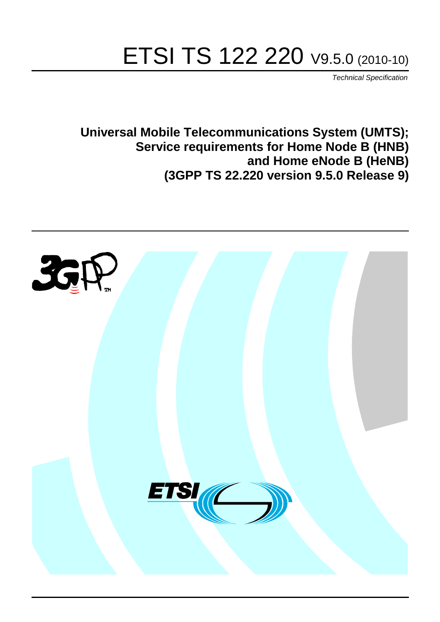# ETSI TS 122 220 V9.5.0 (2010-10)

*Technical Specification*

**Universal Mobile Telecommunications System (UMTS); Service requirements for Home Node B (HNB) and Home eNode B (HeNB) (3GPP TS 22.220 version 9.5.0 Release 9)**

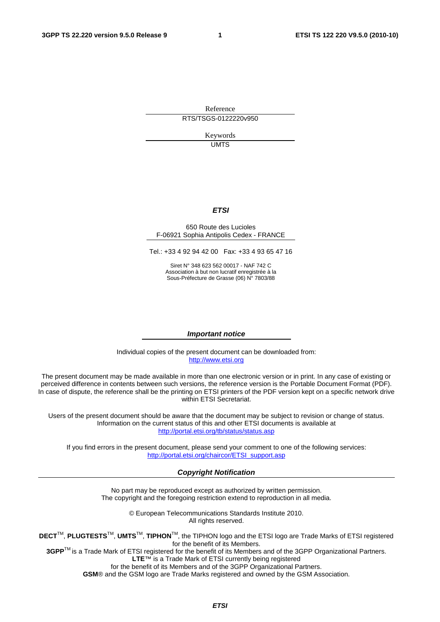Reference RTS/TSGS-0122220v950

> Keywords UMTS

#### *ETSI*

#### 650 Route des Lucioles F-06921 Sophia Antipolis Cedex - FRANCE

Tel.: +33 4 92 94 42 00 Fax: +33 4 93 65 47 16

Siret N° 348 623 562 00017 - NAF 742 C Association à but non lucratif enregistrée à la Sous-Préfecture de Grasse (06) N° 7803/88

#### *Important notice*

Individual copies of the present document can be downloaded from: [http://www.etsi.org](http://www.etsi.org/)

The present document may be made available in more than one electronic version or in print. In any case of existing or perceived difference in contents between such versions, the reference version is the Portable Document Format (PDF). In case of dispute, the reference shall be the printing on ETSI printers of the PDF version kept on a specific network drive within ETSI Secretariat.

Users of the present document should be aware that the document may be subject to revision or change of status. Information on the current status of this and other ETSI documents is available at <http://portal.etsi.org/tb/status/status.asp>

If you find errors in the present document, please send your comment to one of the following services: [http://portal.etsi.org/chaircor/ETSI\\_support.asp](http://portal.etsi.org/chaircor/ETSI_support.asp)

#### *Copyright Notification*

No part may be reproduced except as authorized by written permission. The copyright and the foregoing restriction extend to reproduction in all media.

> © European Telecommunications Standards Institute 2010. All rights reserved.

**DECT**TM, **PLUGTESTS**TM, **UMTS**TM, **TIPHON**TM, the TIPHON logo and the ETSI logo are Trade Marks of ETSI registered for the benefit of its Members.

**3GPP**TM is a Trade Mark of ETSI registered for the benefit of its Members and of the 3GPP Organizational Partners. **LTE**™ is a Trade Mark of ETSI currently being registered

for the benefit of its Members and of the 3GPP Organizational Partners.

**GSM**® and the GSM logo are Trade Marks registered and owned by the GSM Association.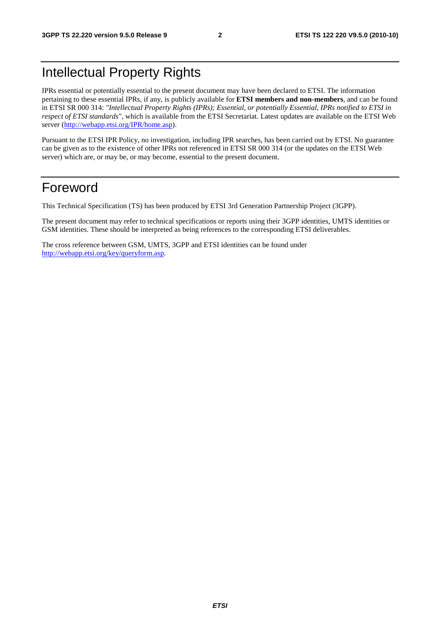# Intellectual Property Rights

IPRs essential or potentially essential to the present document may have been declared to ETSI. The information pertaining to these essential IPRs, if any, is publicly available for **ETSI members and non-members**, and can be found in ETSI SR 000 314: *"Intellectual Property Rights (IPRs); Essential, or potentially Essential, IPRs notified to ETSI in respect of ETSI standards"*, which is available from the ETSI Secretariat. Latest updates are available on the ETSI Web server [\(http://webapp.etsi.org/IPR/home.asp\)](http://webapp.etsi.org/IPR/home.asp).

Pursuant to the ETSI IPR Policy, no investigation, including IPR searches, has been carried out by ETSI. No guarantee can be given as to the existence of other IPRs not referenced in ETSI SR 000 314 (or the updates on the ETSI Web server) which are, or may be, or may become, essential to the present document.

### Foreword

This Technical Specification (TS) has been produced by ETSI 3rd Generation Partnership Project (3GPP).

The present document may refer to technical specifications or reports using their 3GPP identities, UMTS identities or GSM identities. These should be interpreted as being references to the corresponding ETSI deliverables.

The cross reference between GSM, UMTS, 3GPP and ETSI identities can be found under [http://webapp.etsi.org/key/queryform.asp.](http://webapp.etsi.org/key/queryform.asp)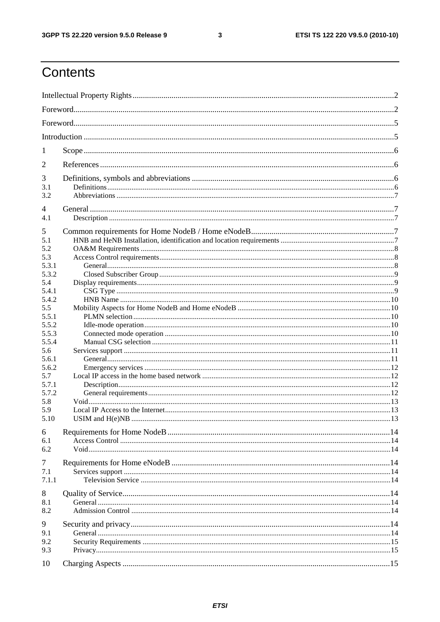#### $\mathbf{3}$

# Contents

| 1          |                   |  |  |  |  |
|------------|-------------------|--|--|--|--|
| 2          |                   |  |  |  |  |
| 3          |                   |  |  |  |  |
| 3.1        |                   |  |  |  |  |
| 3.2        |                   |  |  |  |  |
| 4          |                   |  |  |  |  |
| 4.1        |                   |  |  |  |  |
| 5          |                   |  |  |  |  |
| 5.1<br>5.2 |                   |  |  |  |  |
| 5.3        |                   |  |  |  |  |
| 5.3.1      |                   |  |  |  |  |
| 5.3.2      |                   |  |  |  |  |
| 5.4        |                   |  |  |  |  |
| 5.4.1      |                   |  |  |  |  |
| 5.4.2      |                   |  |  |  |  |
| 5.5        |                   |  |  |  |  |
| 5.5.1      |                   |  |  |  |  |
| 5.5.2      |                   |  |  |  |  |
| 5.5.3      |                   |  |  |  |  |
| 5.5.4      |                   |  |  |  |  |
| 5.6        |                   |  |  |  |  |
| 5.6.1      |                   |  |  |  |  |
| 5.6.2      |                   |  |  |  |  |
| 5.7        |                   |  |  |  |  |
| 5.7.1      |                   |  |  |  |  |
| 5.7.2      |                   |  |  |  |  |
| 5.8        |                   |  |  |  |  |
| 5.9        |                   |  |  |  |  |
| 5.10       | USIM and $H(e)NB$ |  |  |  |  |
| 6          |                   |  |  |  |  |
| 6.1        |                   |  |  |  |  |
| 6.2        |                   |  |  |  |  |
| 7          |                   |  |  |  |  |
| 7.1        |                   |  |  |  |  |
| 7.1.1      |                   |  |  |  |  |
| 8          |                   |  |  |  |  |
| 8.1        |                   |  |  |  |  |
| 8.2        |                   |  |  |  |  |
| 9          |                   |  |  |  |  |
| 9.1        |                   |  |  |  |  |
| 9.2        |                   |  |  |  |  |
| 9.3        |                   |  |  |  |  |
|            |                   |  |  |  |  |
| 10         |                   |  |  |  |  |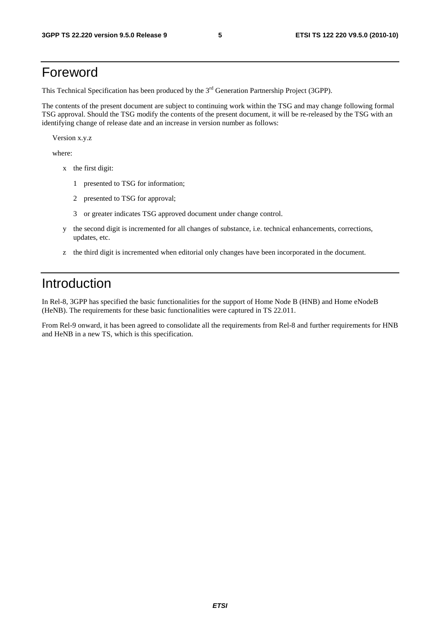### Foreword

This Technical Specification has been produced by the 3<sup>rd</sup> Generation Partnership Project (3GPP).

The contents of the present document are subject to continuing work within the TSG and may change following formal TSG approval. Should the TSG modify the contents of the present document, it will be re-released by the TSG with an identifying change of release date and an increase in version number as follows:

Version x.y.z

where:

- x the first digit:
	- 1 presented to TSG for information;
	- 2 presented to TSG for approval;
	- 3 or greater indicates TSG approved document under change control.
- y the second digit is incremented for all changes of substance, i.e. technical enhancements, corrections, updates, etc.
- z the third digit is incremented when editorial only changes have been incorporated in the document.

### Introduction

In Rel-8, 3GPP has specified the basic functionalities for the support of Home Node B (HNB) and Home eNodeB (HeNB). The requirements for these basic functionalities were captured in TS 22.011.

From Rel-9 onward, it has been agreed to consolidate all the requirements from Rel-8 and further requirements for HNB and HeNB in a new TS, which is this specification.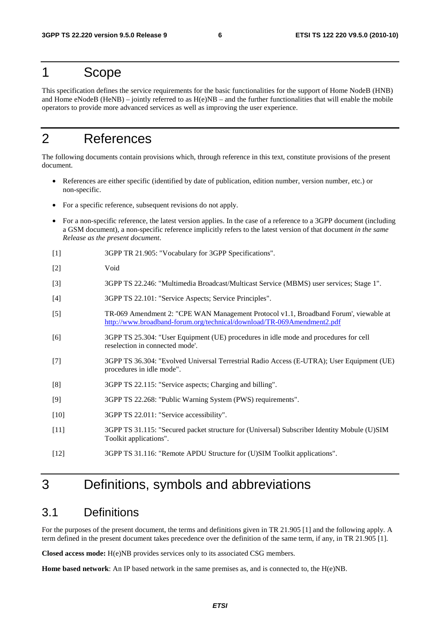### 1 Scope

This specification defines the service requirements for the basic functionalities for the support of Home NodeB (HNB) and Home eNodeB (HeNB) – jointly referred to as  $H(e)NB$  – and the further functionalities that will enable the mobile operators to provide more advanced services as well as improving the user experience.

# 2 References

The following documents contain provisions which, through reference in this text, constitute provisions of the present document.

- References are either specific (identified by date of publication, edition number, version number, etc.) or non-specific.
- For a specific reference, subsequent revisions do not apply.
- For a non-specific reference, the latest version applies. In the case of a reference to a 3GPP document (including a GSM document), a non-specific reference implicitly refers to the latest version of that document *in the same Release as the present document*.
- [1] 3GPP TR 21.905: "Vocabulary for 3GPP Specifications".
- [2] Void
- [3] 3GPP TS 22.246: "Multimedia Broadcast/Multicast Service (MBMS) user services; Stage 1".
- [4] 3GPP TS 22.101: "Service Aspects; Service Principles".
- [5] TR-069 Amendment 2: "CPE WAN Management Protocol v1.1, Broadband Forum', viewable at <http://www.broadband-forum.org/technical/download/TR-069Amendment2.pdf>
- [6] 3GPP TS 25.304: "User Equipment (UE) procedures in idle mode and procedures for cell reselection in connected mode'.
- [7] 3GPP TS 36.304: "Evolved Universal Terrestrial Radio Access (E-UTRA); User Equipment (UE) procedures in idle mode".
- [8] 3GPP TS 22.115: "Service aspects; Charging and billing".
- [9] 3GPP TS 22.268: "Public Warning System (PWS) requirements".
- [10] 3GPP TS 22.011: "Service accessibility".
- [11] 3GPP TS 31.115: "Secured packet structure for (Universal) Subscriber Identity Mobule (U)SIM Toolkit applications".
- [12] 3GPP TS 31.116: "Remote APDU Structure for (U)SIM Toolkit applications".

### 3 Definitions, symbols and abbreviations

#### 3.1 Definitions

For the purposes of the present document, the terms and definitions given in TR 21.905 [1] and the following apply. A term defined in the present document takes precedence over the definition of the same term, if any, in TR 21.905 [1].

**Closed access mode:** H(e)NB provides services only to its associated CSG members.

**Home based network**: An IP based network in the same premises as, and is connected to, the H(e)NB.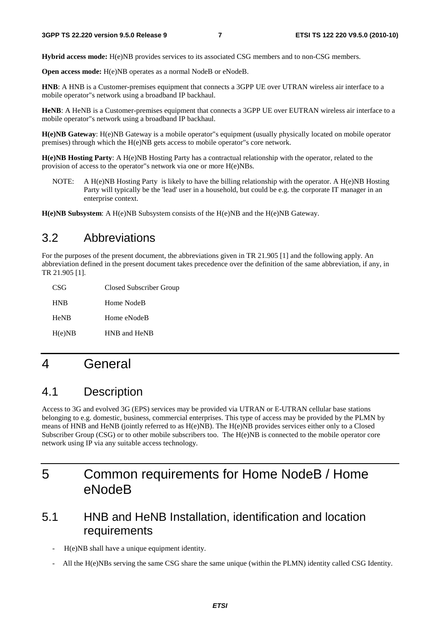**Hybrid access mode:** H(e)NB provides services to its associated CSG members and to non-CSG members.

**Open access mode:** H(e)NB operates as a normal NodeB or eNodeB.

**HNB**: A HNB is a Customer-premises equipment that connects a 3GPP UE over UTRAN wireless air interface to a mobile operator"s network using a broadband IP backhaul.

**HeNB**: A HeNB is a Customer-premises equipment that connects a 3GPP UE over EUTRAN wireless air interface to a mobile operator"s network using a broadband IP backhaul.

**H(e)NB Gateway**: H(e)NB Gateway is a mobile operator"s equipment (usually physically located on mobile operator premises) through which the H(e)NB gets access to mobile operator"s core network.

**H(e)NB Hosting Party**: A H(e)NB Hosting Party has a contractual relationship with the operator, related to the provision of access to the operator"s network via one or more H(e)NBs.

NOTE: A H(e)NB Hosting Party is likely to have the billing relationship with the operator. A H(e)NB Hosting Party will typically be the 'lead' user in a household, but could be e.g. the corporate IT manager in an enterprise context.

**H(e)NB Subsystem**: A H(e)NB Subsystem consists of the H(e)NB and the H(e)NB Gateway.

### 3.2 Abbreviations

For the purposes of the present document, the abbreviations given in TR 21.905 [1] and the following apply. An abbreviation defined in the present document takes precedence over the definition of the same abbreviation, if any, in TR 21.905 [1].

| CSG         | Closed Subscriber Group |
|-------------|-------------------------|
| <b>HNB</b>  | Home NodeB              |
| <b>HeNB</b> | Home eNodeB             |
| H(e)NB      | HNB and HeNB            |

### 4 General

### 4.1 Description

Access to 3G and evolved 3G (EPS) services may be provided via UTRAN or E-UTRAN cellular base stations belonging to e.g. domestic, business, commercial enterprises. This type of access may be provided by the PLMN by means of HNB and HeNB (jointly referred to as H(e)NB). The H(e)NB provides services either only to a Closed Subscriber Group (CSG) or to other mobile subscribers too. The H(e)NB is connected to the mobile operator core network using IP via any suitable access technology.

# 5 Common requirements for Home NodeB / Home eNodeB

### 5.1 HNB and HeNB Installation, identification and location requirements

- H(e)NB shall have a unique equipment identity.
- All the H(e)NBs serving the same CSG share the same unique (within the PLMN) identity called CSG Identity.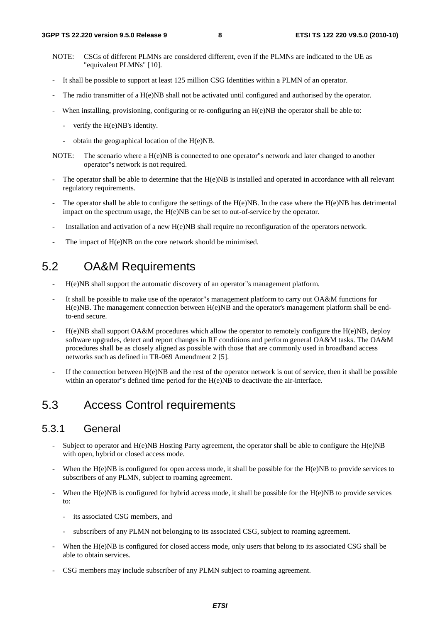- NOTE: CSGs of different PLMNs are considered different, even if the PLMNs are indicated to the UE as "equivalent PLMNs" [10].
- It shall be possible to support at least 125 million CSG Identities within a PLMN of an operator.
- The radio transmitter of a H(e)NB shall not be activated until configured and authorised by the operator.
- When installing, provisioning, configuring or re-configuring an  $H(e)NB$  the operator shall be able to:
	- verify the H(e)NB's identity.
	- obtain the geographical location of the H(e)NB.
- NOTE: The scenario where a H(e)NB is connected to one operator"s network and later changed to another operator"s network is not required.
- The operator shall be able to determine that the H(e)NB is installed and operated in accordance with all relevant regulatory requirements.
- The operator shall be able to configure the settings of the  $H(e)NB$ . In the case where the  $H(e)NB$  has detrimental impact on the spectrum usage, the H(e)NB can be set to out-of-service by the operator.
- Installation and activation of a new H(e)NB shall require no reconfiguration of the operators network.
- The impact of H(e)NB on the core network should be minimised.

### 5.2 OA&M Requirements

- H(e)NB shall support the automatic discovery of an operator"s management platform.
- It shall be possible to make use of the operator"s management platform to carry out OA&M functions for H(e)NB. The management connection between H(e)NB and the operator's management platform shall be endto-end secure.
- $H(e)NB$  shall support OA&M procedures which allow the operator to remotely configure the  $H(e)NB$ , deploy software upgrades, detect and report changes in RF conditions and perform general OA&M tasks. The OA&M procedures shall be as closely aligned as possible with those that are commonly used in broadband access networks such as defined in TR-069 Amendment 2 [5].
- If the connection between  $H(e)NB$  and the rest of the operator network is out of service, then it shall be possible within an operator"s defined time period for the H(e)NB to deactivate the air-interface.

### 5.3 Access Control requirements

#### 5.3.1 General

- Subject to operator and  $H(e)NB$  Hosting Party agreement, the operator shall be able to configure the  $H(e)NB$ with open, hybrid or closed access mode.
- When the  $H(e)NB$  is configured for open access mode, it shall be possible for the  $H(e)NB$  to provide services to subscribers of any PLMN, subject to roaming agreement.
- When the H(e)NB is configured for hybrid access mode, it shall be possible for the H(e)NB to provide services to:
	- its associated CSG members, and
	- subscribers of any PLMN not belonging to its associated CSG, subject to roaming agreement.
- When the H(e)NB is configured for closed access mode, only users that belong to its associated CSG shall be able to obtain services.
- CSG members may include subscriber of any PLMN subject to roaming agreement.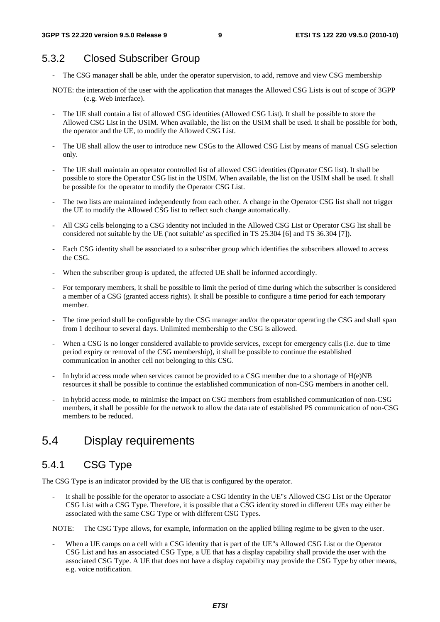### 5.3.2 Closed Subscriber Group

- The CSG manager shall be able, under the operator supervision, to add, remove and view CSG membership
- NOTE: the interaction of the user with the application that manages the Allowed CSG Lists is out of scope of 3GPP (e.g. Web interface).
- The UE shall contain a list of allowed CSG identities (Allowed CSG List). It shall be possible to store the Allowed CSG List in the USIM. When available, the list on the USIM shall be used. It shall be possible for both, the operator and the UE, to modify the Allowed CSG List.
- The UE shall allow the user to introduce new CSGs to the Allowed CSG List by means of manual CSG selection only.
- The UE shall maintain an operator controlled list of allowed CSG identities (Operator CSG list). It shall be possible to store the Operator CSG list in the USIM. When available, the list on the USIM shall be used. It shall be possible for the operator to modify the Operator CSG List.
- The two lists are maintained independently from each other. A change in the Operator CSG list shall not trigger the UE to modify the Allowed CSG list to reflect such change automatically.
- All CSG cells belonging to a CSG identity not included in the Allowed CSG List or Operator CSG list shall be considered not suitable by the UE ('not suitable' as specified in TS 25.304 [6] and TS 36.304 [7]).
- Each CSG identity shall be associated to a subscriber group which identifies the subscribers allowed to access the CSG.
- When the subscriber group is updated, the affected UE shall be informed accordingly.
- For temporary members, it shall be possible to limit the period of time during which the subscriber is considered a member of a CSG (granted access rights). It shall be possible to configure a time period for each temporary member.
- The time period shall be configurable by the CSG manager and/or the operator operating the CSG and shall span from 1 decihour to several days. Unlimited membership to the CSG is allowed.
- When a CSG is no longer considered available to provide services, except for emergency calls (i.e. due to time period expiry or removal of the CSG membership), it shall be possible to continue the established communication in another cell not belonging to this CSG.
- In hybrid access mode when services cannot be provided to a CSG member due to a shortage of  $H(e)NB$ resources it shall be possible to continue the established communication of non-CSG members in another cell.
- In hybrid access mode, to minimise the impact on CSG members from established communication of non-CSG members, it shall be possible for the network to allow the data rate of established PS communication of non-CSG members to be reduced.

### 5.4 Display requirements

#### 5.4.1 CSG Type

The CSG Type is an indicator provided by the UE that is configured by the operator.

It shall be possible for the operator to associate a CSG identity in the UE"s Allowed CSG List or the Operator CSG List with a CSG Type. Therefore, it is possible that a CSG identity stored in different UEs may either be associated with the same CSG Type or with different CSG Types.

NOTE: The CSG Type allows, for example, information on the applied billing regime to be given to the user.

When a UE camps on a cell with a CSG identity that is part of the UE"s Allowed CSG List or the Operator CSG List and has an associated CSG Type, a UE that has a display capability shall provide the user with the associated CSG Type. A UE that does not have a display capability may provide the CSG Type by other means, e.g. voice notification.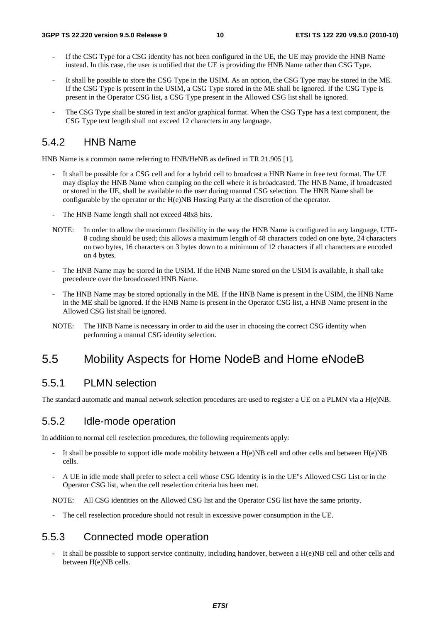- If the CSG Type for a CSG identity has not been configured in the UE, the UE may provide the HNB Name instead. In this case, the user is notified that the UE is providing the HNB Name rather than CSG Type.
- It shall be possible to store the CSG Type in the USIM. As an option, the CSG Type may be stored in the ME. If the CSG Type is present in the USIM, a CSG Type stored in the ME shall be ignored. If the CSG Type is present in the Operator CSG list, a CSG Type present in the Allowed CSG list shall be ignored.
- The CSG Type shall be stored in text and/or graphical format. When the CSG Type has a text component, the CSG Type text length shall not exceed 12 characters in any language.

#### 5.4.2 HNB Name

HNB Name is a common name referring to HNB/HeNB as defined in TR 21.905 [1].

- It shall be possible for a CSG cell and for a hybrid cell to broadcast a HNB Name in free text format. The UE may display the HNB Name when camping on the cell where it is broadcasted. The HNB Name, if broadcasted or stored in the UE, shall be available to the user during manual CSG selection. The HNB Name shall be configurable by the operator or the H(e)NB Hosting Party at the discretion of the operator.
- The HNB Name length shall not exceed 48x8 bits.
- NOTE: In order to allow the maximum flexibility in the way the HNB Name is configured in any language, UTF-8 coding should be used; this allows a maximum length of 48 characters coded on one byte, 24 characters on two bytes, 16 characters on 3 bytes down to a minimum of 12 characters if all characters are encoded on 4 bytes.
- The HNB Name may be stored in the USIM. If the HNB Name stored on the USIM is available, it shall take precedence over the broadcasted HNB Name.
- The HNB Name may be stored optionally in the ME. If the HNB Name is present in the USIM, the HNB Name in the ME shall be ignored. If the HNB Name is present in the Operator CSG list, a HNB Name present in the Allowed CSG list shall be ignored.
- NOTE: The HNB Name is necessary in order to aid the user in choosing the correct CSG identity when performing a manual CSG identity selection.

### 5.5 Mobility Aspects for Home NodeB and Home eNodeB

#### 5.5.1 PLMN selection

The standard automatic and manual network selection procedures are used to register a UE on a PLMN via a H(e)NB.

#### 5.5.2 Idle-mode operation

In addition to normal cell reselection procedures, the following requirements apply:

- It shall be possible to support idle mode mobility between a  $H(e)NB$  cell and other cells and between  $H(e)NB$ cells.
- A UE in idle mode shall prefer to select a cell whose CSG Identity is in the UE"s Allowed CSG List or in the Operator CSG list, when the cell reselection criteria has been met.

NOTE: All CSG identities on the Allowed CSG list and the Operator CSG list have the same priority.

The cell reselection procedure should not result in excessive power consumption in the UE.

#### 5.5.3 Connected mode operation

It shall be possible to support service continuity, including handover, between a  $H(e)NB$  cell and other cells and between H(e)NB cells.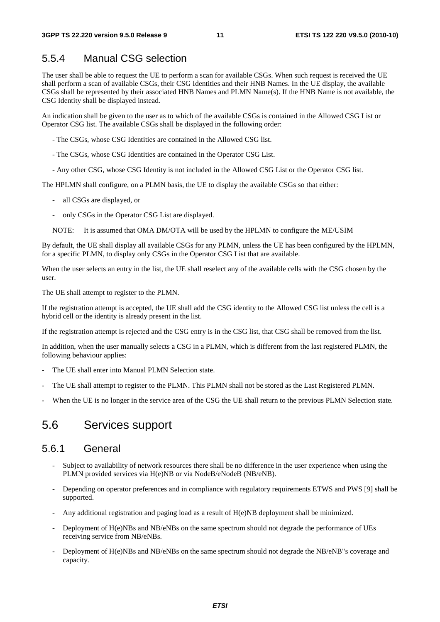#### 5.5.4 Manual CSG selection

The user shall be able to request the UE to perform a scan for available CSGs. When such request is received the UE shall perform a scan of available CSGs, their CSG Identities and their HNB Names. In the UE display, the available CSGs shall be represented by their associated HNB Names and PLMN Name(s). If the HNB Name is not available, the CSG Identity shall be displayed instead.

An indication shall be given to the user as to which of the available CSGs is contained in the Allowed CSG List or Operator CSG list. The available CSGs shall be displayed in the following order:

- The CSGs, whose CSG Identities are contained in the Allowed CSG list.

- The CSGs, whose CSG Identities are contained in the Operator CSG List.
- Any other CSG, whose CSG Identity is not included in the Allowed CSG List or the Operator CSG list.

The HPLMN shall configure, on a PLMN basis, the UE to display the available CSGs so that either:

- all CSGs are displayed, or
- only CSGs in the Operator CSG List are displayed.
- NOTE: It is assumed that OMA DM/OTA will be used by the HPLMN to configure the ME/USIM

By default, the UE shall display all available CSGs for any PLMN, unless the UE has been configured by the HPLMN, for a specific PLMN, to display only CSGs in the Operator CSG List that are available.

When the user selects an entry in the list, the UE shall reselect any of the available cells with the CSG chosen by the user.

The UE shall attempt to register to the PLMN.

If the registration attempt is accepted, the UE shall add the CSG identity to the Allowed CSG list unless the cell is a hybrid cell or the identity is already present in the list.

If the registration attempt is rejected and the CSG entry is in the CSG list, that CSG shall be removed from the list.

In addition, when the user manually selects a CSG in a PLMN, which is different from the last registered PLMN, the following behaviour applies:

- The UE shall enter into Manual PLMN Selection state.
- The UE shall attempt to register to the PLMN. This PLMN shall not be stored as the Last Registered PLMN.
- When the UE is no longer in the service area of the CSG the UE shall return to the previous PLMN Selection state.

### 5.6 Services support

#### 5.6.1 General

- Subject to availability of network resources there shall be no difference in the user experience when using the PLMN provided services via H(e)NB or via NodeB/eNodeB (NB/eNB).
- Depending on operator preferences and in compliance with regulatory requirements ETWS and PWS [9] shall be supported.
- Any additional registration and paging load as a result of H(e)NB deployment shall be minimized.
- Deployment of H(e)NBs and NB/eNBs on the same spectrum should not degrade the performance of UEs receiving service from NB/eNBs.
- Deployment of H(e)NBs and NB/eNBs on the same spectrum should not degrade the NB/eNB"s coverage and capacity.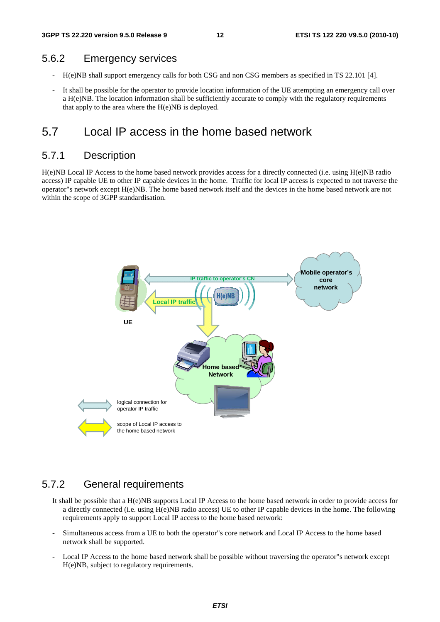#### 5.6.2 Emergency services

- H(e)NB shall support emergency calls for both CSG and non CSG members as specified in TS 22.101 [4].
- It shall be possible for the operator to provide location information of the UE attempting an emergency call over a H(e)NB. The location information shall be sufficiently accurate to comply with the regulatory requirements that apply to the area where the H(e)NB is deployed.

### 5.7 Local IP access in the home based network

#### 5.7.1 Description

H(e)NB Local IP Access to the home based network provides access for a directly connected (i.e. using H(e)NB radio access) IP capable UE to other IP capable devices in the home. Traffic for local IP access is expected to not traverse the operator"s network except H(e)NB. The home based network itself and the devices in the home based network are not within the scope of 3GPP standardisation.



#### 5.7.2 General requirements

- It shall be possible that a H(e)NB supports Local IP Access to the home based network in order to provide access for a directly connected (i.e. using H(e)NB radio access) UE to other IP capable devices in the home. The following requirements apply to support Local IP access to the home based network:
- Simultaneous access from a UE to both the operator"s core network and Local IP Access to the home based network shall be supported.
- Local IP Access to the home based network shall be possible without traversing the operator"s network except H(e)NB, subject to regulatory requirements.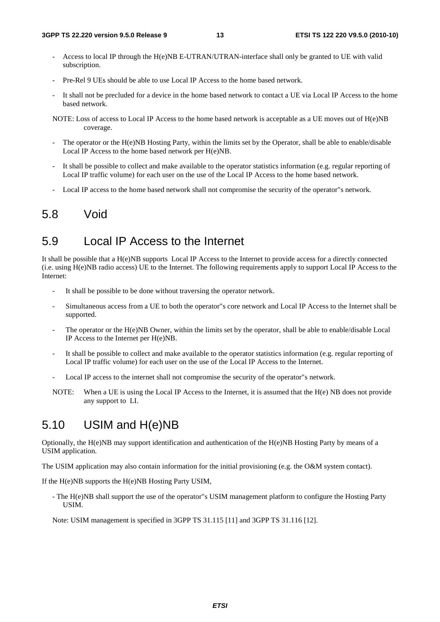- Access to local IP through the H(e)NB E-UTRAN/UTRAN-interface shall only be granted to UE with valid subscription.
- Pre-Rel 9 UEs should be able to use Local IP Access to the home based network.
- It shall not be precluded for a device in the home based network to contact a UE via Local IP Access to the home based network.
- NOTE: Loss of access to Local IP Access to the home based network is acceptable as a UE moves out of H(e)NB coverage.
- The operator or the H(e)NB Hosting Party, within the limits set by the Operator, shall be able to enable/disable Local IP Access to the home based network per H(e)NB.
- It shall be possible to collect and make available to the operator statistics information (e.g. regular reporting of Local IP traffic volume) for each user on the use of the Local IP Access to the home based network.
- Local IP access to the home based network shall not compromise the security of the operator"s network.

#### 5.8 Void

### 5.9 Local IP Access to the Internet

It shall be possible that a H(e)NB supports Local IP Access to the Internet to provide access for a directly connected (i.e. using H(e)NB radio access) UE to the Internet. The following requirements apply to support Local IP Access to the Internet:

- It shall be possible to be done without traversing the operator network.
- Simultaneous access from a UE to both the operator"s core network and Local IP Access to the Internet shall be supported.
- The operator or the H(e)NB Owner, within the limits set by the operator, shall be able to enable/disable Local IP Access to the Internet per H(e)NB.
- It shall be possible to collect and make available to the operator statistics information (e.g. regular reporting of Local IP traffic volume) for each user on the use of the Local IP Access to the Internet.
- Local IP access to the internet shall not compromise the security of the operator"s network.
- NOTE: When a UE is using the Local IP Access to the Internet, it is assumed that the H(e) NB does not provide any support to LI.

### 5.10 USIM and H(e)NB

Optionally, the H(e)NB may support identification and authentication of the H(e)NB Hosting Party by means of a USIM application.

The USIM application may also contain information for the initial provisioning (e.g. the O&M system contact).

If the H(e)NB supports the H(e)NB Hosting Party USIM,

- The H(e)NB shall support the use of the operator"s USIM management platform to configure the Hosting Party USIM.

Note: USIM management is specified in 3GPP TS 31.115 [11] and 3GPP TS 31.116 [12].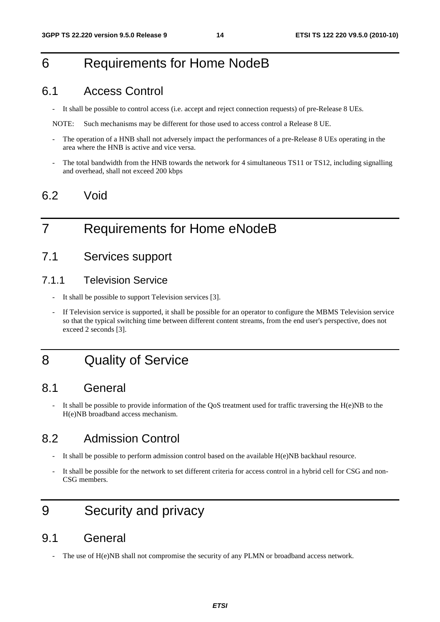# 6 Requirements for Home NodeB

### 6.1 Access Control

- It shall be possible to control access (i.e. accept and reject connection requests) of pre-Release 8 UEs.

NOTE: Such mechanisms may be different for those used to access control a Release 8 UE.

- The operation of a HNB shall not adversely impact the performances of a pre-Release 8 UEs operating in the area where the HNB is active and vice versa.
- The total bandwidth from the HNB towards the network for 4 simultaneous TS11 or TS12, including signalling and overhead, shall not exceed 200 kbps

### 6.2 Void

# 7 Requirements for Home eNodeB

### 7.1 Services support

#### 7.1.1 Television Service

- It shall be possible to support Television services [3].
- If Television service is supported, it shall be possible for an operator to configure the MBMS Television service so that the typical switching time between different content streams, from the end user's perspective, does not exceed 2 seconds [3].

### 8 Quality of Service

### 8.1 General

It shall be possible to provide information of the QoS treatment used for traffic traversing the  $H(e)NB$  to the H(e)NB broadband access mechanism.

### 8.2 Admission Control

- It shall be possible to perform admission control based on the available H(e)NB backhaul resource.
- It shall be possible for the network to set different criteria for access control in a hybrid cell for CSG and non-CSG members.

# 9 Security and privacy

### 9.1 General

The use of  $H(e)NB$  shall not compromise the security of any PLMN or broadband access network.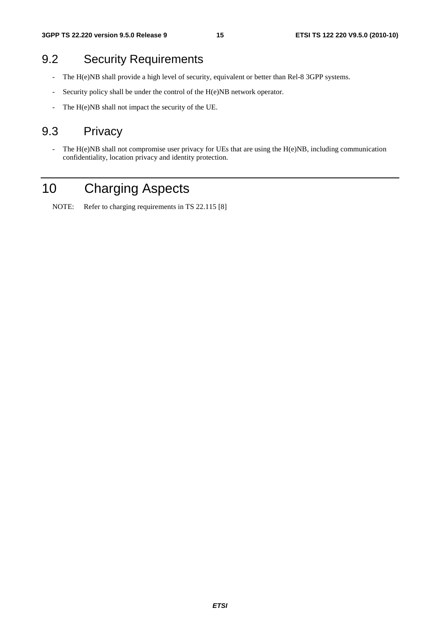### 9.2 Security Requirements

- The H(e)NB shall provide a high level of security, equivalent or better than Rel-8 3GPP systems.
- Security policy shall be under the control of the H(e)NB network operator.
- The H(e)NB shall not impact the security of the UE.

### 9.3 Privacy

- The H(e)NB shall not compromise user privacy for UEs that are using the H(e)NB, including communication confidentiality, location privacy and identity protection.

# 10 Charging Aspects

NOTE: Refer to charging requirements in TS 22.115 [8]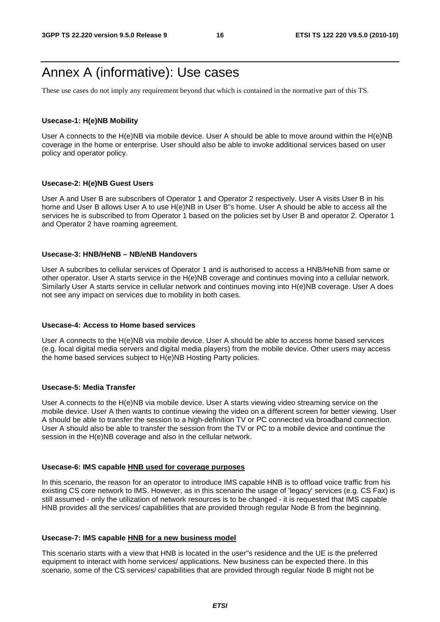### Annex A (informative): Use cases

These use cases do not imply any requirement beyond that which is contained in the normative part of this TS.

#### **Usecase-1: H(e)NB Mobility**

User A connects to the H(e)NB via mobile device. User A should be able to move around within the H(e)NB coverage in the home or enterprise. User should also be able to invoke additional services based on user policy and operator policy.

#### **Usecase-2: H(e)NB Guest Users**

User A and User B are subscribers of Operator 1 and Operator 2 respectively. User A visits User B in his home and User B allows User A to use H(e)NB in User B"s home. User A should be able to access all the services he is subscribed to from Operator 1 based on the policies set by User B and operator 2. Operator 1 and Operator 2 have roaming agreement.

#### **Usecase-3: HNB/HeNB – NB/eNB Handovers**

User A subcribes to cellular services of Operator 1 and is authorised to access a HNB/HeNB from same or other operator. User A starts service in the H(e)NB coverage and continues moving into a cellular network. Similarly User A starts service in cellular network and continues moving into H(e)NB coverage. User A does not see any impact on services due to mobility in both cases.

#### **Usecase-4: Access to Home based services**

User A connects to the H(e)NB via mobile device. User A should be able to access home based services (e.g. local digital media servers and digital media players) from the mobile device. Other users may access the home based services subject to H(e)NB Hosting Party policies.

#### **Usecase-5: Media Transfer**

User A connects to the H(e)NB via mobile device. User A starts viewing video streaming service on the mobile device. User A then wants to continue viewing the video on a different screen for better viewing. User A should be able to transfer the session to a high-definition TV or PC connected via broadband connection. User A should also be able to transfer the session from the TV or PC to a mobile device and continue the session in the H(e)NB coverage and also in the cellular network.

#### **Usecase-6: IMS capable HNB used for coverage purposes**

In this scenario, the reason for an operator to introduce IMS capable HNB is to offload voice traffic from his existing CS core network to IMS. However, as in this scenario the usage of 'legacy' services (e.g. CS Fax) is still assumed - only the utilization of network resources is to be changed - it is requested that IMS capable HNB provides all the services/ capabilities that are provided through regular Node B from the beginning.

#### **Usecase-7: IMS capable HNB for a new business model**

This scenario starts with a view that HNB is located in the user"s residence and the UE is the preferred equipment to interact with home services/ applications. New business can be expected there. In this scenario, some of the CS services/ capabilities that are provided through regular Node B might not be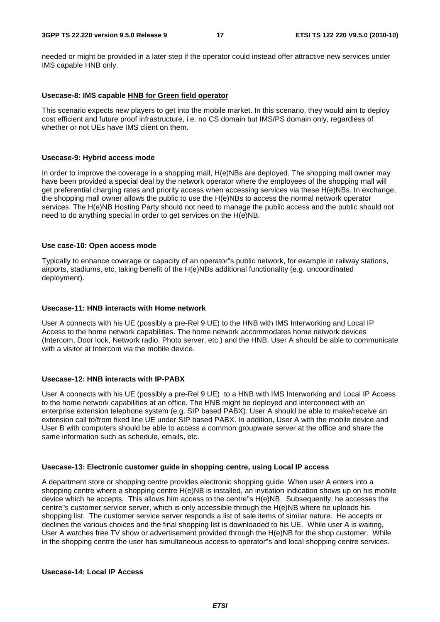needed or might be provided in a later step if the operator could instead offer attractive new services under IMS capable HNB only.

#### **Usecase-8: IMS capable HNB for Green field operator**

This scenario expects new players to get into the mobile market. In this scenario, they would aim to deploy cost efficient and future proof infrastructure, i.e. no CS domain but IMS/PS domain only, regardless of whether or not UEs have IMS client on them.

#### **Usecase-9: Hybrid access mode**

In order to improve the coverage in a shopping mall, H(e)NBs are deployed. The shopping mall owner may have been provided a special deal by the network operator where the employees of the shopping mall will get preferential charging rates and priority access when accessing services via these H(e)NBs. In exchange, the shopping mall owner allows the public to use the H(e)NBs to access the normal network operator services. The H(e)NB Hosting Party should not need to manage the public access and the public should not need to do anything special in order to get services on the H(e)NB.

#### **Use case-10: Open access mode**

Typically to enhance coverage or capacity of an operator"s public network, for example in railway stations, airports, stadiums, etc, taking benefit of the H(e)NBs additional functionality (e.g. uncoordinated deployment).

#### **Usecase-11: HNB interacts with Home network**

User A connects with his UE (possibly a pre-Rel 9 UE) to the HNB with IMS Interworking and Local IP Access to the home network capabilities. The home network accommodates home network devices (Intercom, Door lock, Network radio, Photo server, etc.) and the HNB. User A should be able to communicate with a visitor at Intercom via the mobile device.

#### **Usecase-12: HNB interacts with IP-PABX**

User A connects with his UE (possibly a pre-Rel 9 UE) to a HNB with IMS Interworking and Local IP Access to the home network capabilities at an office. The HNB might be deployed and interconnect with an enterprise extension telephone system (e.g. SIP based PABX). User A should be able to make/receive an extension call to/from fixed line UE under SIP based PABX. In addition, User A with the mobile device and User B with computers should be able to access a common groupware server at the office and share the same information such as schedule, emails, etc.

#### **Usecase-13: Electronic customer guide in shopping centre, using Local IP access**

A department store or shopping centre provides electronic shopping guide. When user A enters into a shopping centre where a shopping centre H(e)NB is installed, an invitation indication shows up on his mobile device which he accepts. This allows him access to the centre"s H(e)NB. Subsequently, he accesses the centre"s customer service server, which is only accessible through the H(e)NB where he uploads his shopping list. The customer service server responds a list of sale items of similar nature. He accepts or declines the various choices and the final shopping list is downloaded to his UE. While user A is waiting, User A watches free TV show or advertisement provided through the H(e)NB for the shop customer. While in the shopping centre the user has simultaneous access to operator"s and local shopping centre services.

#### **Usecase-14: Local IP Access**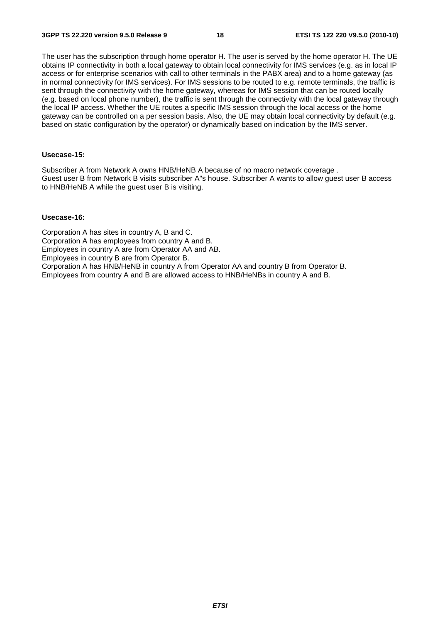The user has the subscription through home operator H. The user is served by the home operator H. The UE obtains IP connectivity in both a local gateway to obtain local connectivity for IMS services (e.g. as in local IP access or for enterprise scenarios with call to other terminals in the PABX area) and to a home gateway (as in normal connectivity for IMS services). For IMS sessions to be routed to e.g. remote terminals, the traffic is sent through the connectivity with the home gateway, whereas for IMS session that can be routed locally (e.g. based on local phone number), the traffic is sent through the connectivity with the local gateway through the local IP access. Whether the UE routes a specific IMS session through the local access or the home gateway can be controlled on a per session basis. Also, the UE may obtain local connectivity by default (e.g. based on static configuration by the operator) or dynamically based on indication by the IMS server.

#### **Usecase-15:**

Subscriber A from Network A owns HNB/HeNB A because of no macro network coverage . Guest user B from Network B visits subscriber A"s house. Subscriber A wants to allow guest user B access to HNB/HeNB A while the guest user B is visiting.

#### **Usecase-16:**

Corporation A has sites in country A, B and C. Corporation A has employees from country A and B. Employees in country A are from Operator AA and AB. Employees in country B are from Operator B. Corporation A has HNB/HeNB in country A from Operator AA and country B from Operator B. Employees from country A and B are allowed access to HNB/HeNBs in country A and B.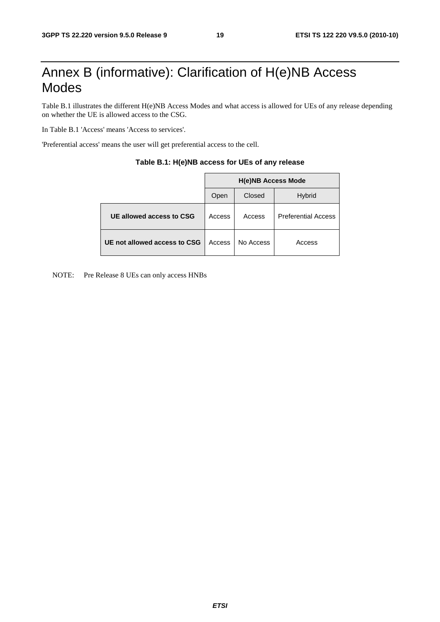# Annex B (informative): Clarification of H(e)NB Access Modes

Table B.1 illustrates the different H(e)NB Access Modes and what access is allowed for UEs of any release depending on whether the UE is allowed access to the CSG.

In Table B.1 'Access' means 'Access to services'.

'Preferential access' means the user will get preferential access to the cell.

|                              | <b>H(e)NB Access Mode</b> |           |                            |  |  |  |
|------------------------------|---------------------------|-----------|----------------------------|--|--|--|
|                              | Open                      | Closed    | <b>Hybrid</b>              |  |  |  |
| UE allowed access to CSG     | Access                    | Access    | <b>Preferential Access</b> |  |  |  |
| UE not allowed access to CSG | Access                    | No Access | Access                     |  |  |  |

#### **Table B.1: H(e)NB access for UEs of any release**

NOTE: Pre Release 8 UEs can only access HNBs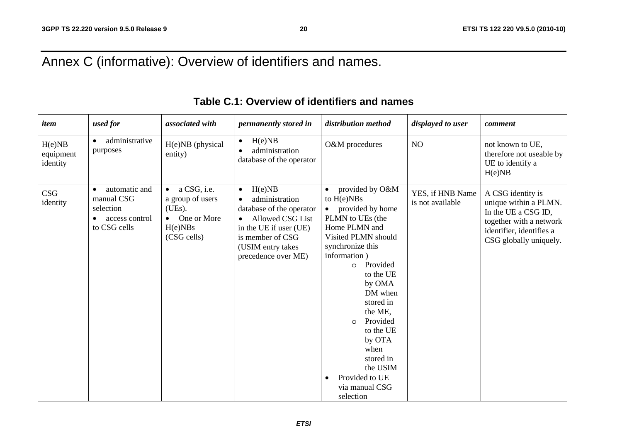# Annex C (informative): Overview of identifiers and names.

| item                            | used for                                                                   | associated with                                                                                              | permanently stored in                                                                                                                                                           | distribution method                                                                                                                                                                                                                                                                                                                                                                | displayed to user                    | comment                                                                                                                                            |
|---------------------------------|----------------------------------------------------------------------------|--------------------------------------------------------------------------------------------------------------|---------------------------------------------------------------------------------------------------------------------------------------------------------------------------------|------------------------------------------------------------------------------------------------------------------------------------------------------------------------------------------------------------------------------------------------------------------------------------------------------------------------------------------------------------------------------------|--------------------------------------|----------------------------------------------------------------------------------------------------------------------------------------------------|
| H(e)NB<br>equipment<br>identity | administrative<br>$\bullet$<br>purposes                                    | H(e)NB (physical<br>entity)                                                                                  | H(e)NB<br>$\bullet$<br>administration<br>database of the operator                                                                                                               | O&M procedures                                                                                                                                                                                                                                                                                                                                                                     | NO                                   | not known to UE,<br>therefore not useable by<br>UE to identify a<br>H(e)NB                                                                         |
| <b>CSG</b><br>identity          | automatic and<br>manual CSG<br>selection<br>access control<br>to CSG cells | a CSG, i.e.<br>$\bullet$<br>a group of users<br>(UEs).<br>One or More<br>$\bullet$<br>H(e)NBs<br>(CSG cells) | H(e)NB<br>$\bullet$<br>administration<br>database of the operator<br>Allowed CSG List<br>in the UE if user (UE)<br>is member of CSG<br>(USIM entry takes<br>precedence over ME) | provided by O&M<br>to $H(e)NBs$<br>provided by home<br>$\bullet$<br>PLMN to UEs (the<br>Home PLMN and<br>Visited PLMN should<br>synchronize this<br>information)<br>Provided<br>$\circ$<br>to the UE<br>by OMA<br>DM when<br>stored in<br>the ME,<br>Provided<br>$\Omega$<br>to the UE<br>by OTA<br>when<br>stored in<br>the USIM<br>Provided to UE<br>via manual CSG<br>selection | YES, if HNB Name<br>is not available | A CSG identity is<br>unique within a PLMN.<br>In the UE a CSG ID,<br>together with a network<br>identifier, identifies a<br>CSG globally uniquely. |

### **Table C.1: Overview of identifiers and names**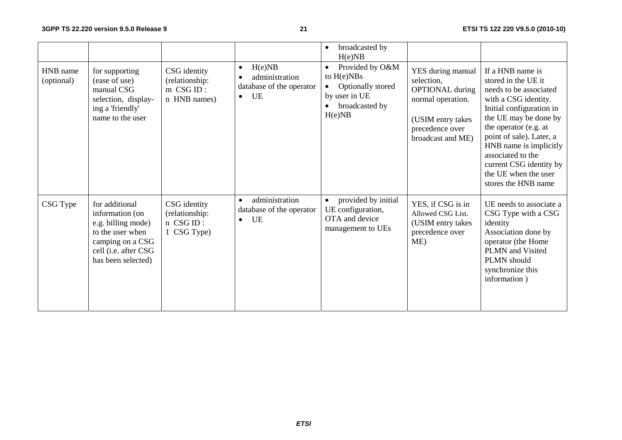|                        |                                                                                                                                               |                                                               |                                                                                      | broadcasted by<br>$\bullet$<br>H(e)NB                                                                                       |                                                                                                                                             |                                                                                                                                                                                                                                                                                                                              |
|------------------------|-----------------------------------------------------------------------------------------------------------------------------------------------|---------------------------------------------------------------|--------------------------------------------------------------------------------------|-----------------------------------------------------------------------------------------------------------------------------|---------------------------------------------------------------------------------------------------------------------------------------------|------------------------------------------------------------------------------------------------------------------------------------------------------------------------------------------------------------------------------------------------------------------------------------------------------------------------------|
| HNB name<br>(optional) | for supporting<br>(ease of use)<br>manual CSG<br>selection, display-<br>ing a 'friendly'<br>name to the user                                  | CSG identity<br>(relationship:<br>$m$ CSG ID:<br>n HNB names) | H(e)NB<br>$\bullet$<br>administration<br>database of the operator<br>UE<br>$\bullet$ | Provided by O&M<br>$\bullet$<br>to $H(e)NBs$<br>Optionally stored<br>$\bullet$<br>by user in UE<br>broadcasted by<br>H(e)NB | YES during manual<br>selection,<br><b>OPTIONAL</b> during<br>normal operation.<br>(USIM entry takes<br>precedence over<br>broadcast and ME) | If a HNB name is<br>stored in the UE it<br>needs to be associated<br>with a CSG identity.<br>Initial configuration in<br>the UE may be done by<br>the operator (e.g. at<br>point of sale). Later, a<br>HNB name is implicitly<br>associated to the<br>current CSG identity by<br>the UE when the user<br>stores the HNB name |
| CSG Type               | for additional<br>information (on<br>e.g. billing mode)<br>to the user when<br>camping on a CSG<br>cell (i.e. after CSG<br>has been selected) | CSG identity<br>(relationship:<br>n CSG ID:<br>1 CSG Type)    | administration<br>$\bullet$<br>database of the operator<br>UE<br>$\bullet$           | provided by initial<br>UE configuration,<br>OTA and device<br>management to UEs                                             | YES, if CSG is in<br>Allowed CSG List.<br>(USIM entry takes<br>precedence over<br>ME)                                                       | UE needs to associate a<br>CSG Type with a CSG<br>identity<br>Association done by<br>operator (the Home<br>PLMN and Visited<br>PLMN should<br>synchronize this<br>information)                                                                                                                                               |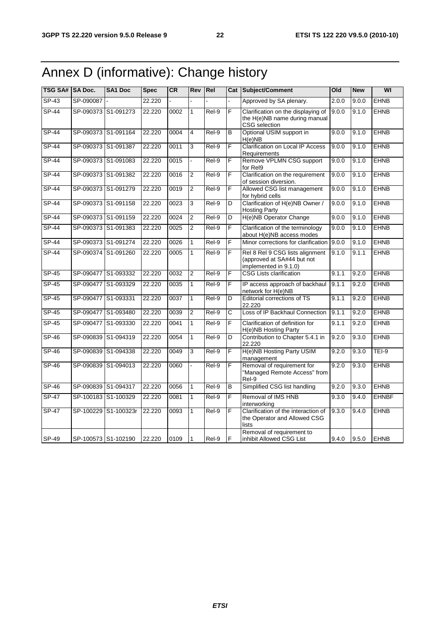# Annex D (informative): Change history

| TSG SA# SA Doc. |           | <b>SA1 Doc</b>       | <b>Spec</b> | CR   | Rev            | Rel     |   | <b>Cat Subject/Comment</b>                                                             | Old   | <b>New</b> | WI           |
|-----------------|-----------|----------------------|-------------|------|----------------|---------|---|----------------------------------------------------------------------------------------|-------|------------|--------------|
| $SP-43$         | SP-090087 |                      | 22.220      |      |                |         |   | Approved by SA plenary.                                                                | 2.0.0 | 9.0.0      | <b>EHNB</b>  |
| $SP-44$         |           | SP-090373 S1-091273  | 22.220      | 0002 | $\overline{1}$ | $ReI-9$ | F | Clarification on the displaying of<br>the H(e)NB name during manual<br>CSG selection   | 9.0.0 | 9.1.0      | <b>EHNB</b>  |
| SP-44           |           | SP-090373 S1-091164  | 22.220      | 0004 | 4              | Rel-9   | B | Optional USIM support in<br>H(e)NB                                                     | 9.0.0 | 9.1.0      | <b>EHNB</b>  |
| <b>SP-44</b>    |           | SP-090373 S1-091387  | 22.220      | 0011 | 3              | Rel-9   | F | <b>Clarification on Local IP Access</b><br>Requirements                                | 9.0.0 | 9.1.0      | <b>EHNB</b>  |
| $SP-44$         |           | SP-090373 S1-091083  | 22.220      | 0015 |                | Rel-9   | F | Remove VPLMN CSG support<br>for Rel9                                                   | 9.0.0 | 9.1.0      | <b>EHNB</b>  |
| SP-44           |           | SP-090373 S1-091382  | 22.220      | 0016 | $\overline{2}$ | Rel-9   | F | Clarification on the requirement<br>of session diversion.                              | 9.0.0 | 9.1.0      | <b>EHNB</b>  |
| $SP-44$         |           | SP-090373 S1-091279  | 22.220      | 0019 | $\overline{2}$ | Rel-9   | F | Allowed CSG list management<br>for hybrid cells                                        | 9.0.0 | 9.1.0      | <b>EHNB</b>  |
| SP-44           |           | SP-090373 S1-091158  | 22.220      | 0023 | 3              | Rel-9   | D | Clarification of H(e)NB Owner /<br><b>Hosting Party</b>                                | 9.0.0 | 9.1.0      | <b>EHNB</b>  |
| $SP-44$         |           | SP-090373 S1-091159  | 22.220      | 0024 | $\overline{2}$ | $ReI-9$ | D | H(e)NB Operator Change                                                                 | 9.0.0 | 9.1.0      | <b>EHNB</b>  |
| <b>SP-44</b>    |           | SP-090373 S1-091383  | 22.220      | 0025 | $\overline{c}$ | Rel-9   | F | Clarification of the terminology<br>about H(e)NB access modes                          | 9.0.0 | 9.1.0      | <b>EHNB</b>  |
| SP-44           |           | SP-090373 S1-091274  | 22.220      | 0026 | $\mathbf{1}$   | Rel-9   | F | Minor corrections for clarification                                                    | 9.0.0 | 9.1.0      | <b>EHNB</b>  |
| $SP-44$         |           | SP-090374 S1-091260  | 22.220      | 0005 | 1              | Rel-9   | F | Rel 8 Rel 9 CSG lists alignment<br>(approved at SA#44 but not<br>implemented in 9.1.0) | 9.1.0 | 9.1.1      | <b>EHNB</b>  |
| $SP-45$         |           | SP-090477 S1-093332  | 22.220      | 0032 | $\overline{2}$ | Rel-9   | F | <b>CSG Lists clarification</b>                                                         | 9.1.1 | 9.2.0      | <b>EHNB</b>  |
| $SP-45$         |           | SP-090477 S1-093329  | 22.220      | 0035 | 1              | Rel-9   | F | IP access approach of backhaul<br>network for H(e)NB                                   | 9.1.1 | 9.2.0      | <b>EHNB</b>  |
| <b>SP-45</b>    |           | SP-090477 S1-093331  | 22.220      | 0037 | 1              | Rel-9   | D | Editorial corrections of TS<br>22.220                                                  | 9.1.1 | 9.2.0      | <b>EHNB</b>  |
| $SP-45$         |           | SP-090477 S1-093480  | 22.220      | 0039 | 2              | Rel-9   | C | Loss of IP Backhaul Connection                                                         | 9.1.1 | 9.2.0      | <b>EHNB</b>  |
| <b>SP-45</b>    |           | SP-090477 S1-093330  | 22.220      | 0041 | $\mathbf{1}$   | Rel-9   | F | Clarification of definition for<br>H(e)NB Hosting Party                                | 9.1.1 | 9.2.0      | <b>EHNB</b>  |
| SP-46           |           | SP-090839 S1-094319  | 22.220      | 0054 | $\mathbf{1}$   | Rel-9   | D | Contribution to Chapter 5.4.1 in<br>22.220                                             | 9.2.0 | 9.3.0      | <b>EHNB</b>  |
| SP-46           |           | SP-090839 S1-094338  | 22.220      | 0049 | 3              | Rel-9   | F | H(e)NB Hosting Party USIM<br>management                                                | 9.2.0 | 9.3.0      | $TEI-9$      |
| $SP-46$         |           | SP-090839 S1-094013  | 22.220      | 0060 |                | $Rel-9$ | F | Removal of requirement for<br>"Managed Remote Access" from<br>Rel-9                    | 9.2.0 | 9.3.0      | <b>EHNB</b>  |
| $SP-46$         |           | SP-090839 S1-094317  | 22.220      | 0056 | 1              | Rel-9   | B | Simplified CSG list handling                                                           | 9.2.0 | 9.3.0      | <b>EHNB</b>  |
| $SP-47$         |           | SP-100183 S1-100329  | 22.220      | 0081 | $\mathbf{1}$   | Rel-9   | F | Removal of IMS HNB<br>interworking                                                     | 9.3.0 | 9.4.0      | <b>EHNBF</b> |
| <b>SP-47</b>    |           | SP-100229 S1-100323r | 22.220      | 0093 | $\mathbf{1}$   | Rel-9   | F | Clarification of the interaction of<br>the Operator and Allowed CSG<br>lists           | 9.3.0 | 9.4.0      | <b>EHNB</b>  |
| SP-49           |           | SP-100573 S1-102190  | 22.220      | 0109 | $\mathbf{1}$   | Rel-9   | F | Removal of requirement to<br>inhibit Allowed CSG List                                  | 9.4.0 | 9.5.0      | <b>EHNB</b>  |